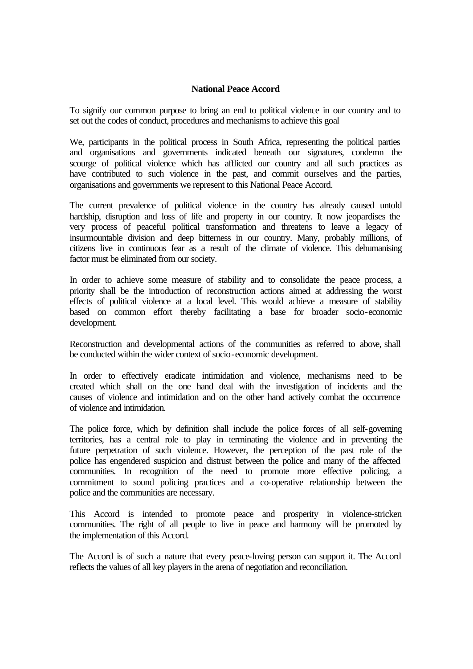# **National Peace Accord**

To signify our common purpose to bring an end to political violence in our country and to set out the codes of conduct, procedures and mechanisms to achieve this goal

We, participants in the political process in South Africa, representing the political parties and organisations and governments indicated beneath our signatures, condemn the scourge of political violence which has afflicted our country and all such practices as have contributed to such violence in the past, and commit ourselves and the parties, organisations and governments we represent to this National Peace Accord.

The current prevalence of political violence in the country has already caused untold hardship, disruption and loss of life and property in our country. It now jeopardises the very process of peaceful political transformation and threatens to leave a legacy of insurmountable division and deep bitterness in our country. Many, probably millions, of citizens live in continuous fear as a result of the climate of violence. This dehumanising factor must be eliminated from our society.

In order to achieve some measure of stability and to consolidate the peace process, a priority shall be the introduction of reconstruction actions aimed at addressing the worst effects of political violence at a local level. This would achieve a measure of stability based on common effort thereby facilitating a base for broader socio-economic development.

Reconstruction and developmental actions of the communities as referred to above, shall be conducted within the wider context of socio-economic development.

In order to effectively eradicate intimidation and violence, mechanisms need to be created which shall on the one hand deal with the investigation of incidents and the causes of violence and intimidation and on the other hand actively combat the occurrence of violence and intimidation.

The police force, which by definition shall include the police forces of all self-governing territories, has a central role to play in terminating the violence and in preventing the future perpetration of such violence. However, the perception of the past role of the police has engendered suspicion and distrust between the police and many of the affected communities. In recognition of the need to promote more effective policing, a commitment to sound policing practices and a co-operative relationship between the police and the communities are necessary.

This Accord is intended to promote peace and prosperity in violence-stricken communities. The right of all people to live in peace and harmony will be promoted by the implementation of this Accord.

The Accord is of such a nature that every peace-loving person can support it. The Accord reflects the values of all key players in the arena of negotiation and reconciliation.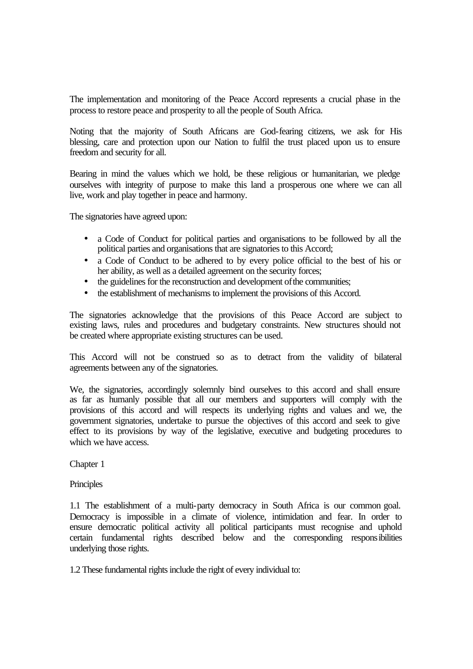The implementation and monitoring of the Peace Accord represents a crucial phase in the process to restore peace and prosperity to all the people of South Africa.

Noting that the majority of South Africans are God-fearing citizens, we ask for His blessing, care and protection upon our Nation to fulfil the trust placed upon us to ensure freedom and security for all.

Bearing in mind the values which we hold, be these religious or humanitarian, we pledge ourselves with integrity of purpose to make this land a prosperous one where we can all live, work and play together in peace and harmony.

The signatories have agreed upon:

- a Code of Conduct for political parties and organisations to be followed by all the political parties and organisations that are signatories to this Accord;
- a Code of Conduct to be adhered to by every police official to the best of his or her ability, as well as a detailed agreement on the security forces;
- the guidelines for the reconstruction and development of the communities;
- the establishment of mechanisms to implement the provisions of this Accord.

The signatories acknowledge that the provisions of this Peace Accord are subject to existing laws, rules and procedures and budgetary constraints. New structures should not be created where appropriate existing structures can be used.

This Accord will not be construed so as to detract from the validity of bilateral agreements between any of the signatories.

We, the signatories, accordingly solemnly bind ourselves to this accord and shall ensure as far as humanly possible that all our members and supporters will comply with the provisions of this accord and will respects its underlying rights and values and we, the government signatories, undertake to pursue the objectives of this accord and seek to give effect to its provisions by way of the legislative, executive and budgeting procedures to which we have access.

Chapter 1

**Principles** 

1.1 The establishment of a multi-party democracy in South Africa is our common goal. Democracy is impossible in a climate of violence, intimidation and fear. In order to ensure democratic political activity all political participants must recognise and uphold certain fundamental rights described below and the corresponding responsibilities underlying those rights.

1.2 These fundamental rights include the right of every individual to: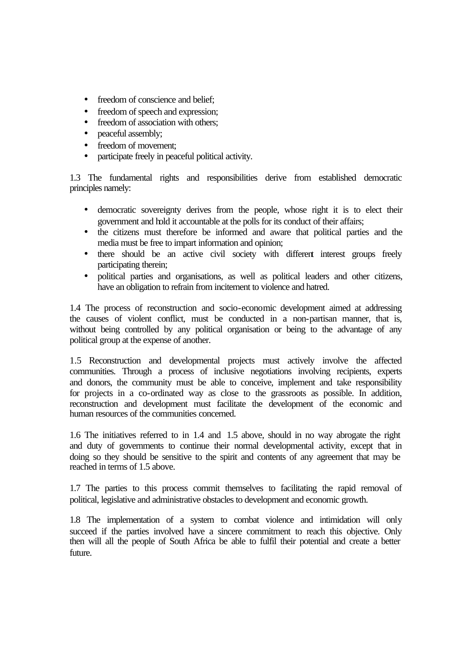- freedom of conscience and belief;
- freedom of speech and expression;
- freedom of association with others;
- peaceful assembly;
- freedom of movement:
- participate freely in peaceful political activity.

1.3 The fundamental rights and responsibilities derive from established democratic principles namely:

- democratic sovereignty derives from the people, whose right it is to elect their government and hold it accountable at the polls for its conduct of their affairs;
- the citizens must therefore be informed and aware that political parties and the media must be free to impart information and opinion;
- there should be an active civil society with different interest groups freely participating therein;
- political parties and organisations, as well as political leaders and other citizens, have an obligation to refrain from incitement to violence and hatred.

1.4 The process of reconstruction and socio-economic development aimed at addressing the causes of violent conflict, must be conducted in a non-partisan manner, that is, without being controlled by any political organisation or being to the advantage of any political group at the expense of another.

1.5 Reconstruction and developmental projects must actively involve the affected communities. Through a process of inclusive negotiations involving recipients, experts and donors, the community must be able to conceive, implement and take responsibility for projects in a co-ordinated way as close to the grassroots as possible. In addition, reconstruction and development must facilitate the development of the economic and human resources of the communities concerned.

1.6 The initiatives referred to in 1.4 and 1.5 above, should in no way abrogate the right and duty of governments to continue their normal developmental activity, except that in doing so they should be sensitive to the spirit and contents of any agreement that may be reached in terms of 1.5 above.

1.7 The parties to this process commit themselves to facilitating the rapid removal of political, legislative and administrative obstacles to development and economic growth.

1.8 The implementation of a system to combat violence and intimidation will only succeed if the parties involved have a sincere commitment to reach this objective. Only then will all the people of South Africa be able to fulfil their potential and create a better future.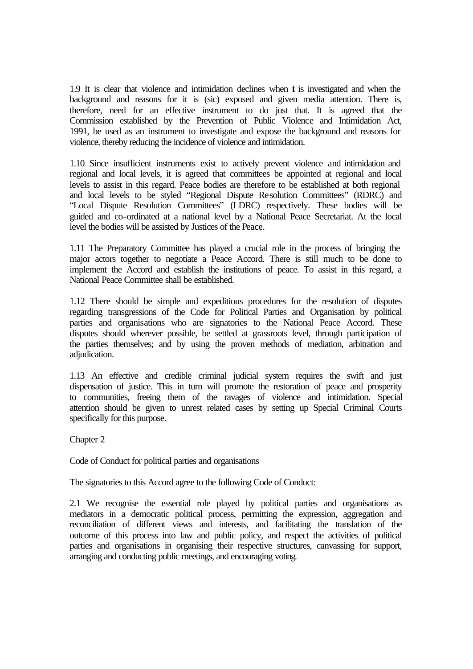1.9 It is clear that violence and intimidation declines when it is investigated and when the background and reasons for it is (sic) exposed and given media attention. There is, therefore, need for an effective instrument to do just that. It is agreed that the Commission established by the Prevention of Public Violence and Intimidation Act, 1991, be used as an instrument to investigate and expose the background and reasons for violence, thereby reducing the incidence of violence and intimidation.

1.10 Since insufficient instruments exist to actively prevent violence and intimidation and regional and local levels, it is agreed that committees be appointed at regional and local levels to assist in this regard. Peace bodies are therefore to be established at both regional and local levels to be styled "Regional Dispute Resolution Committees" (RDRC) and "Local Dispute Resolution Committees" (LDRC) respectively. These bodies will be guided and co-ordinated at a national level by a National Peace Secretariat. At the local level the bodies will be assisted by Justices of the Peace.

1.11 The Preparatory Committee has played a crucial role in the process of bringing the major actors together to negotiate a Peace Accord. There is still much to be done to implement the Accord and establish the institutions of peace. To assist in this regard, a National Peace Committee shall be established.

1.12 There should be simple and expeditious procedures for the resolution of disputes regarding transgressions of the Code for Political Parties and Organisation by political parties and organisations who are signatories to the National Peace Accord. These disputes should wherever possible, be settled at grassroots level, through participation of the parties themselves; and by using the proven methods of mediation, arbitration and adjudication.

1.13 An effective and credible criminal judicial system requires the swift and just dispensation of justice. This in turn will promote the restoration of peace and prosperity to communities, freeing them of the ravages of violence and intimidation. Special attention should be given to unrest related cases by setting up Special Criminal Courts specifically for this purpose.

Chapter 2

Code of Conduct for political parties and organisations

The signatories to this Accord agree to the following Code of Conduct:

2.1 We recognise the essential role played by political parties and organisations as mediators in a democratic political process, permitting the expression, aggregation and reconciliation of different views and interests, and facilitating the translation of the outcome of this process into law and public policy, and respect the activities of political parties and organisations in organising their respective structures, canvassing for support, arranging and conducting public meetings, and encouraging voting.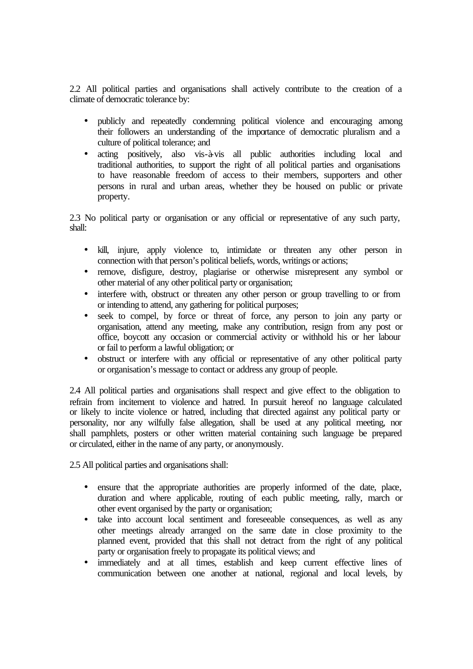2.2 All political parties and organisations shall actively contribute to the creation of a climate of democratic tolerance by:

- publicly and repeatedly condemning political violence and encouraging among their followers an understanding of the importance of democratic pluralism and a culture of political tolerance; and
- acting positively, also vis-à-vis all public authorities including local and traditional authorities, to support the right of all political parties and organisations to have reasonable freedom of access to their members, supporters and other persons in rural and urban areas, whether they be housed on public or private property.

2.3 No political party or organisation or any official or representative of any such party, shall:

- kill, injure, apply violence to, intimidate or threaten any other person in connection with that person's political beliefs, words, writings or actions;
- remove, disfigure, destroy, plagiarise or otherwise misrepresent any symbol or other material of any other political party or organisation;
- interfere with, obstruct or threaten any other person or group travelling to or from or intending to attend, any gathering for political purposes;
- seek to compel, by force or threat of force, any person to join any party or organisation, attend any meeting, make any contribution, resign from any post or office, boycott any occasion or commercial activity or withhold his or her labour or fail to perform a lawful obligation; or
- obstruct or interfere with any official or representative of any other political party or organisation's message to contact or address any group of people.

2.4 All political parties and organisations shall respect and give effect to the obligation to refrain from incitement to violence and hatred. In pursuit hereof no language calculated or likely to incite violence or hatred, including that directed against any political party or personality, nor any wilfully false allegation, shall be used at any political meeting, nor shall pamphlets, posters or other written material containing such language be prepared or circulated, either in the name of any party, or anonymously.

2.5 All political parties and organisations shall:

- ensure that the appropriate authorities are properly informed of the date, place, duration and where applicable, routing of each public meeting, rally, march or other event organised by the party or organisation;
- take into account local sentiment and foreseeable consequences, as well as any other meetings already arranged on the same date in close proximity to the planned event, provided that this shall not detract from the right of any political party or organisation freely to propagate its political views; and
- immediately and at all times, establish and keep current effective lines of communication between one another at national, regional and local levels, by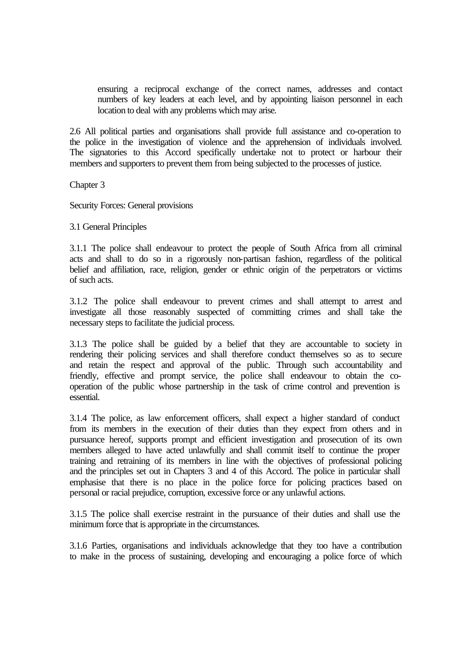ensuring a reciprocal exchange of the correct names, addresses and contact numbers of key leaders at each level, and by appointing liaison personnel in each location to deal with any problems which may arise.

2.6 All political parties and organisations shall provide full assistance and co-operation to the police in the investigation of violence and the apprehension of individuals involved. The signatories to this Accord specifically undertake not to protect or harbour their members and supporters to prevent them from being subjected to the processes of justice.

Chapter 3

Security Forces: General provisions

3.1 General Principles

3.1.1 The police shall endeavour to protect the people of South Africa from all criminal acts and shall to do so in a rigorously non-partisan fashion, regardless of the political belief and affiliation, race, religion, gender or ethnic origin of the perpetrators or victims of such acts.

3.1.2 The police shall endeavour to prevent crimes and shall attempt to arrest and investigate all those reasonably suspected of committing crimes and shall take the necessary steps to facilitate the judicial process.

3.1.3 The police shall be guided by a belief that they are accountable to society in rendering their policing services and shall therefore conduct themselves so as to secure and retain the respect and approval of the public. Through such accountability and friendly, effective and prompt service, the police shall endeavour to obtain the cooperation of the public whose partnership in the task of crime control and prevention is essential.

3.1.4 The police, as law enforcement officers, shall expect a higher standard of conduct from its members in the execution of their duties than they expect from others and in pursuance hereof, supports prompt and efficient investigation and prosecution of its own members alleged to have acted unlawfully and shall commit itself to continue the proper training and retraining of its members in line with the objectives of professional policing and the principles set out in Chapters 3 and 4 of this Accord. The police in particular shall emphasise that there is no place in the police force for policing practices based on personal or racial prejudice, corruption, excessive force or any unlawful actions.

3.1.5 The police shall exercise restraint in the pursuance of their duties and shall use the minimum force that is appropriate in the circumstances.

3.1.6 Parties, organisations and individuals acknowledge that they too have a contribution to make in the process of sustaining, developing and encouraging a police force of which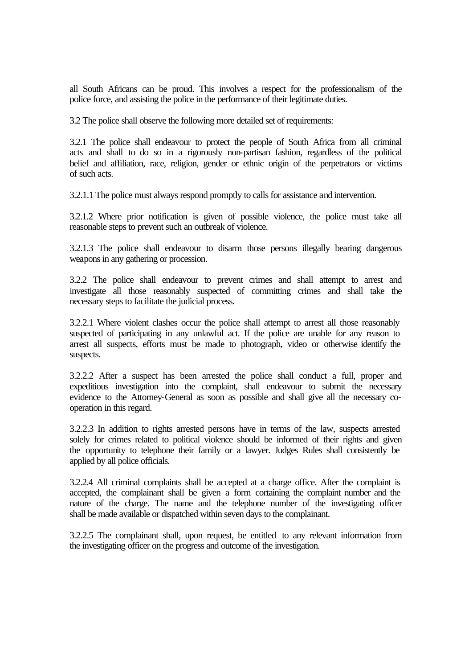all South Africans can be proud. This involves a respect for the professionalism of the police force, and assisting the police in the performance of their legitimate duties.

3.2 The police shall observe the following more detailed set of requirements:

3.2.1 The police shall endeavour to protect the people of South Africa from all criminal acts and shall to do so in a rigorously non-partisan fashion, regardless of the political belief and affiliation, race, religion, gender or ethnic origin of the perpetrators or victims of such acts.

3.2.1.1 The police must always respond promptly to calls for assistance and intervention.

3.2.1.2 Where prior notification is given of possible violence, the police must take all reasonable steps to prevent such an outbreak of violence.

3.2.1.3 The police shall endeavour to disarm those persons illegally bearing dangerous weapons in any gathering or procession.

3.2.2 The police shall endeavour to prevent crimes and shall attempt to arrest and investigate all those reasonably suspected of committing crimes and shall take the necessary steps to facilitate the judicial process.

3.2.2.1 Where violent clashes occur the police shall attempt to arrest all those reasonably suspected of participating in any unlawful act. If the police are unable for any reason to arrest all suspects, efforts must be made to photograph, video or otherwise identify the suspects.

3.2.2.2 After a suspect has been arrested the police shall conduct a full, proper and expeditious investigation into the complaint, shall endeavour to submit the necessary evidence to the Attorney-General as soon as possible and shall give all the necessary cooperation in this regard.

3.2.2.3 In addition to rights arrested persons have in terms of the law, suspects arrested solely for crimes related to political violence should be informed of their rights and given the opportunity to telephone their family or a lawyer. Judges Rules shall consistently be applied by all police officials.

3.2.2.4 All criminal complaints shall be accepted at a charge office. After the complaint is accepted, the complainant shall be given a form containing the complaint number and the nature of the charge. The name and the telephone number of the investigating officer shall be made available or dispatched within seven days to the complainant.

3.2.2.5 The complainant shall, upon request, be entitled to any relevant information from the investigating officer on the progress and outcome of the investigation.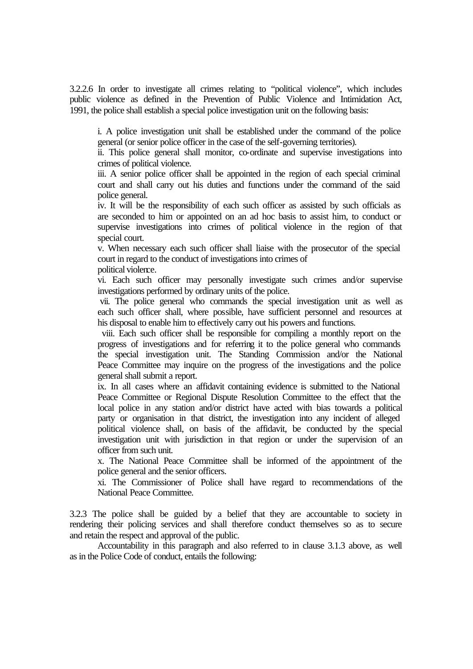3.2.2.6 In order to investigate all crimes relating to "political violence", which includes public violence as defined in the Prevention of Public Violence and Intimidation Act, 1991, the police shall establish a special police investigation unit on the following basis:

i. A police investigation unit shall be established under the command of the police general (or senior police officer in the case of the self-governing territories).

ii. This police general shall monitor, co-ordinate and supervise investigations into crimes of political violence.

iii. A senior police officer shall be appointed in the region of each special criminal court and shall carry out his duties and functions under the command of the said police general.

iv. It will be the responsibility of each such officer as assisted by such officials as are seconded to him or appointed on an ad hoc basis to assist him, to conduct or supervise investigations into crimes of political violence in the region of that special court.

v. When necessary each such officer shall liaise with the prosecutor of the special court in regard to the conduct of investigations into crimes of

political violence.

vi. Each such officer may personally investigate such crimes and/or supervise investigations performed by ordinary units of the police.

 vii. The police general who commands the special investigation unit as well as each such officer shall, where possible, have sufficient personnel and resources at his disposal to enable him to effectively carry out his powers and functions.

 viii. Each such officer shall be responsible for compiling a monthly report on the progress of investigations and for referring it to the police general who commands the special investigation unit. The Standing Commission and/or the National Peace Committee may inquire on the progress of the investigations and the police general shall submit a report.

ix. In all cases where an affidavit containing evidence is submitted to the National Peace Committee or Regional Dispute Resolution Committee to the effect that the local police in any station and/or district have acted with bias towards a political party or organisation in that district, the investigation into any incident of alleged political violence shall, on basis of the affidavit, be conducted by the special investigation unit with jurisdiction in that region or under the supervision of an officer from such unit.

x. The National Peace Committee shall be informed of the appointment of the police general and the senior officers.

xi. The Commissioner of Police shall have regard to recommendations of the National Peace Committee.

3.2.3 The police shall be guided by a belief that they are accountable to society in rendering their policing services and shall therefore conduct themselves so as to secure and retain the respect and approval of the public.

Accountability in this paragraph and also referred to in clause 3.1.3 above, as well as in the Police Code of conduct, entails the following: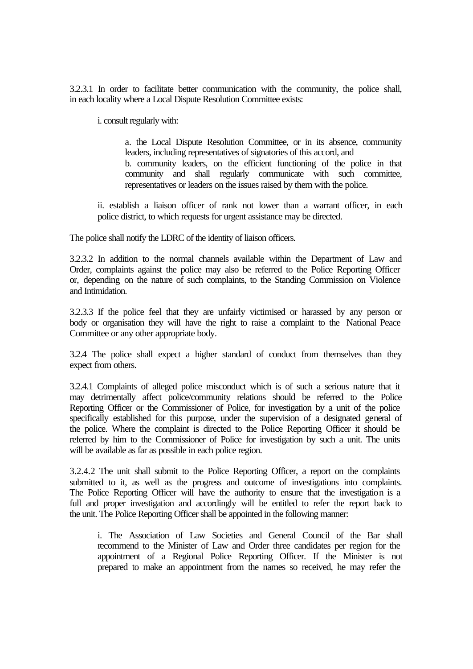3.2.3.1 In order to facilitate better communication with the community, the police shall, in each locality where a Local Dispute Resolution Committee exists:

i. consult regularly with:

a. the Local Dispute Resolution Committee, or in its absence, community leaders, including representatives of signatories of this accord, and

b. community leaders, on the efficient functioning of the police in that community and shall regularly communicate with such committee, representatives or leaders on the issues raised by them with the police.

ii. establish a liaison officer of rank not lower than a warrant officer, in each police district, to which requests for urgent assistance may be directed.

The police shall notify the LDRC of the identity of liaison officers.

3.2.3.2 In addition to the normal channels available within the Department of Law and Order, complaints against the police may also be referred to the Police Reporting Officer or, depending on the nature of such complaints, to the Standing Commission on Violence and Intimidation.

3.2.3.3 If the police feel that they are unfairly victimised or harassed by any person or body or organisation they will have the right to raise a complaint to the National Peace Committee or any other appropriate body.

3.2.4 The police shall expect a higher standard of conduct from themselves than they expect from others.

3.2.4.1 Complaints of alleged police misconduct which is of such a serious nature that it may detrimentally affect police/community relations should be referred to the Police Reporting Officer or the Commissioner of Police, for investigation by a unit of the police specifically established for this purpose, under the supervision of a designated general of the police. Where the complaint is directed to the Police Reporting Officer it should be referred by him to the Commissioner of Police for investigation by such a unit. The units will be available as far as possible in each police region.

3.2.4.2 The unit shall submit to the Police Reporting Officer, a report on the complaints submitted to it, as well as the progress and outcome of investigations into complaints. The Police Reporting Officer will have the authority to ensure that the investigation is a full and proper investigation and accordingly will be entitled to refer the report back to the unit. The Police Reporting Officer shall be appointed in the following manner:

i. The Association of Law Societies and General Council of the Bar shall recommend to the Minister of Law and Order three candidates per region for the appointment of a Regional Police Reporting Officer. If the Minister is not prepared to make an appointment from the names so received, he may refer the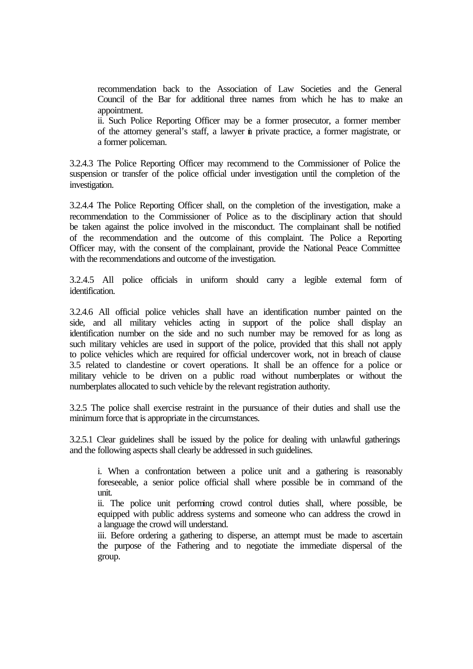recommendation back to the Association of Law Societies and the General Council of the Bar for additional three names from which he has to make an appointment.

ii. Such Police Reporting Officer may be a former prosecutor, a former member of the attorney general's staff, a lawyer in private practice, a former magistrate, or a former policeman.

3.2.4.3 The Police Reporting Officer may recommend to the Commissioner of Police the suspension or transfer of the police official under investigation until the completion of the investigation.

3.2.4.4 The Police Reporting Officer shall, on the completion of the investigation, make a recommendation to the Commissioner of Police as to the disciplinary action that should be taken against the police involved in the misconduct. The complainant shall be notified of the recommendation and the outcome of this complaint. The Police a Reporting Officer may, with the consent of the complainant, provide the National Peace Committee with the recommendations and outcome of the investigation.

3.2.4.5 All police officials in uniform should carry a legible external form of identification.

3.2.4.6 All official police vehicles shall have an identification number painted on the side, and all military vehicles acting in support of the police shall display an identification number on the side and no such number may be removed for as long as such military vehicles are used in support of the police, provided that this shall not apply to police vehicles which are required for official undercover work, not in breach of clause 3.5 related to clandestine or covert operations. It shall be an offence for a police or military vehicle to be driven on a public road without numberplates or without the numberplates allocated to such vehicle by the relevant registration authority.

3.2.5 The police shall exercise restraint in the pursuance of their duties and shall use the minimum force that is appropriate in the circumstances.

3.2.5.1 Clear guidelines shall be issued by the police for dealing with unlawful gatherings and the following aspects shall clearly be addressed in such guidelines.

i. When a confrontation between a police unit and a gathering is reasonably foreseeable, a senior police official shall where possible be in command of the unit.

ii. The police unit performing crowd control duties shall, where possible, be equipped with public address systems and someone who can address the crowd in a language the crowd will understand.

iii. Before ordering a gathering to disperse, an attempt must be made to ascertain the purpose of the Fathering and to negotiate the immediate dispersal of the group.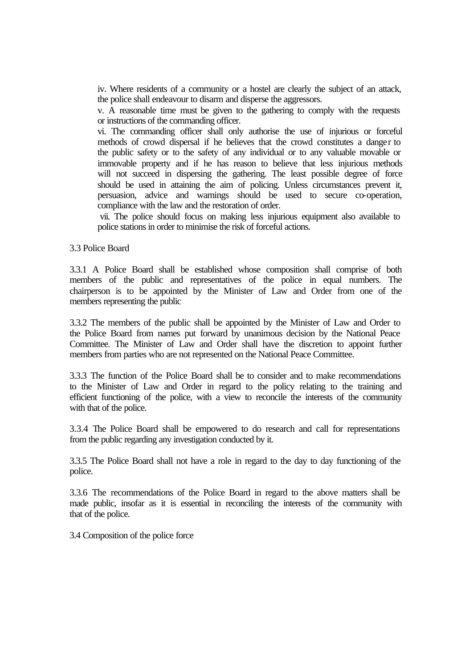iv. Where residents of a community or a hostel are clearly the subject of an attack, the police shall endeavour to disarm and disperse the aggressors.

v. A reasonable time must be given to the gathering to comply with the requests or instructions of the commanding officer.

vi. The commanding officer shall only authorise the use of injurious or forceful methods of crowd dispersal if he believes that the crowd constitutes a danger to the public safety or to the safety of any individual or to any valuable movable or immovable property and if he has reason to believe that less injurious methods will not succeed in dispersing the gathering. The least possible degree of force should be used in attaining the aim of policing. Unless circumstances prevent it, persuasion, advice and warnings should be used to secure co-operation, compliance with the law and the restoration of order.

 vii. The police should focus on making less injurious equipment also available to police stations in order to minimise the risk of forceful actions.

3.3 Police Board

3.3.1 A Police Board shall be established whose composition shall comprise of both members of the public and representatives of the police in equal numbers. The chairperson is to be appointed by the Minister of Law and Order from one of the members representing the public

3.3.2 The members of the public shall be appointed by the Minister of Law and Order to the Police Board from names put forward by unanimous decision by the National Peace Committee. The Minister of Law and Order shall have the discretion to appoint further members from parties who are not represented on the National Peace Committee.

3.3.3 The function of the Police Board shall be to consider and to make recommendations to the Minister of Law and Order in regard to the policy relating to the training and efficient functioning of the police, with a view to reconcile the interests of the community with that of the police.

3.3.4 The Police Board shall be empowered to do research and call for representations from the public regarding any investigation conducted by it.

3.3.5 The Police Board shall not have a role in regard to the day to day functioning of the police.

3.3.6 The recommendations of the Police Board in regard to the above matters shall be made public, insofar as it is essential in reconciling the interests of the community with that of the police.

3.4 Composition of the police force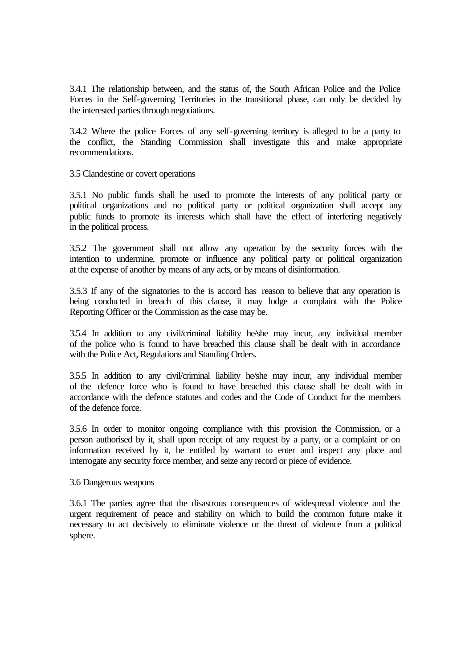3.4.1 The relationship between, and the status of, the South African Police and the Police Forces in the Self-governing Territories in the transitional phase, can only be decided by the interested parties through negotiations.

3.4.2 Where the police Forces of any self-governing territory is alleged to be a party to the conflict, the Standing Commission shall investigate this and make appropriate recommendations.

3.5 Clandestine or covert operations

3.5.1 No public funds shall be used to promote the interests of any political party or political organizations and no political party or political organization shall accept any public funds to promote its interests which shall have the effect of interfering negatively in the political process.

3.5.2 The government shall not allow any operation by the security forces with the intention to undermine, promote or influence any political party or political organization at the expense of another by means of any acts, or by means of disinformation.

3.5.3 If any of the signatories to the is accord has reason to believe that any operation is being conducted in breach of this clause, it may lodge a complaint with the Police Reporting Officer or the Commission as the case may be.

3.5.4 In addition to any civil/criminal liability he/she may incur, any individual member of the police who is found to have breached this clause shall be dealt with in accordance with the Police Act, Regulations and Standing Orders.

3.5.5 In addition to any civil/criminal liability he/she may incur, any individual member of the defence force who is found to have breached this clause shall be dealt with in accordance with the defence statutes and codes and the Code of Conduct for the members of the defence force.

3.5.6 In order to monitor ongoing compliance with this provision the Commission, or a person authorised by it, shall upon receipt of any request by a party, or a complaint or on information received by it, be entitled by warrant to enter and inspect any place and interrogate any security force member, and seize any record or piece of evidence.

3.6 Dangerous weapons

3.6.1 The parties agree that the disastrous consequences of widespread violence and the urgent requirement of peace and stability on which to build the common future make it necessary to act decisively to eliminate violence or the threat of violence from a political sphere.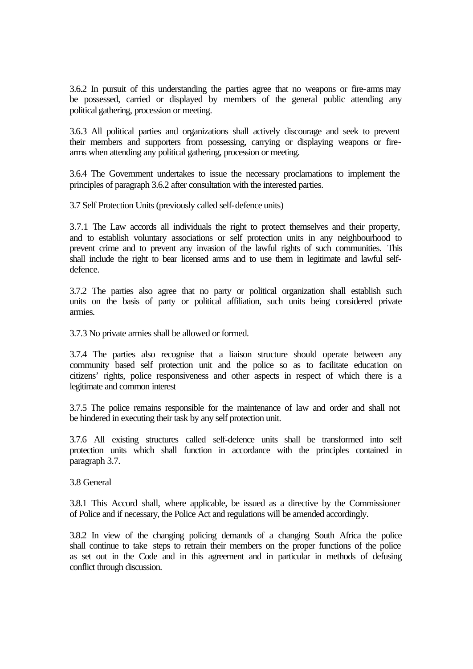3.6.2 In pursuit of this understanding the parties agree that no weapons or fire-arms may be possessed, carried or displayed by members of the general public attending any political gathering, procession or meeting.

3.6.3 All political parties and organizations shall actively discourage and seek to prevent their members and supporters from possessing, carrying or displaying weapons or firearms when attending any political gathering, procession or meeting.

3.6.4 The Government undertakes to issue the necessary proclamations to implement the principles of paragraph 3.6.2 after consultation with the interested parties.

3.7 Self Protection Units (previously called self-defence units)

3.7.1 The Law accords all individuals the right to protect themselves and their property, and to establish voluntary associations or self protection units in any neighbourhood to prevent crime and to prevent any invasion of the lawful rights of such communities. This shall include the right to bear licensed arms and to use them in legitimate and lawful selfdefence.

3.7.2 The parties also agree that no party or political organization shall establish such units on the basis of party or political affiliation, such units being considered private armies.

3.7.3 No private armies shall be allowed or formed.

3.7.4 The parties also recognise that a liaison structure should operate between any community based self protection unit and the police so as to facilitate education on citizens' rights, police responsiveness and other aspects in respect of which there is a legitimate and common interest

3.7.5 The police remains responsible for the maintenance of law and order and shall not be hindered in executing their task by any self protection unit.

3.7.6 All existing structures called self-defence units shall be transformed into self protection units which shall function in accordance with the principles contained in paragraph 3.7.

3.8 General

3.8.1 This Accord shall, where applicable, be issued as a directive by the Commissioner of Police and if necessary, the Police Act and regulations will be amended accordingly.

3.8.2 In view of the changing policing demands of a changing South Africa the police shall continue to take steps to retrain their members on the proper functions of the police as set out in the Code and in this agreement and in particular in methods of defusing conflict through discussion.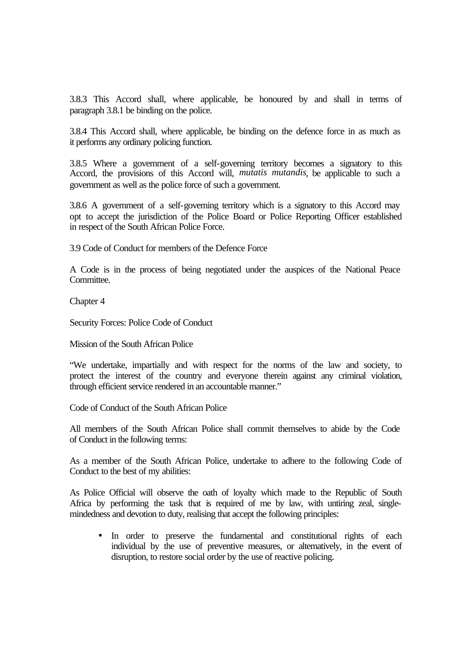3.8.3 This Accord shall, where applicable, be honoured by and shall in terms of paragraph 3.8.1 be binding on the police.

3.8.4 This Accord shall, where applicable, be binding on the defence force in as much as it performs any ordinary policing function.

3.8.5 Where a government of a self-governing territory becomes a signatory to this Accord, the provisions of this Accord will, *mutatis mutandis*, be applicable to such a government as well as the police force of such a government.

3.8.6 A government of a self-governing territory which is a signatory to this Accord may opt to accept the jurisdiction of the Police Board or Police Reporting Officer established in respect of the South African Police Force.

3.9 Code of Conduct for members of the Defence Force

A Code is in the process of being negotiated under the auspices of the National Peace Committee.

Chapter 4

Security Forces: Police Code of Conduct

Mission of the South African Police

"We undertake, impartially and with respect for the norms of the law and society, to protect the interest of the country and everyone therein against any criminal violation, through efficient service rendered in an accountable manner."

Code of Conduct of the South African Police

All members of the South African Police shall commit themselves to abide by the Code of Conduct in the following terms:

As a member of the South African Police, undertake to adhere to the following Code of Conduct to the best of my abilities:

As Police Official will observe the oath of loyalty which made to the Republic of South Africa by performing the task that is required of me by law, with untiring zeal, singlemindedness and devotion to duty, realising that accept the following principles:

• In order to preserve the fundamental and constitutional rights of each individual by the use of preventive measures, or alternatively, in the event of disruption, to restore social order by the use of reactive policing.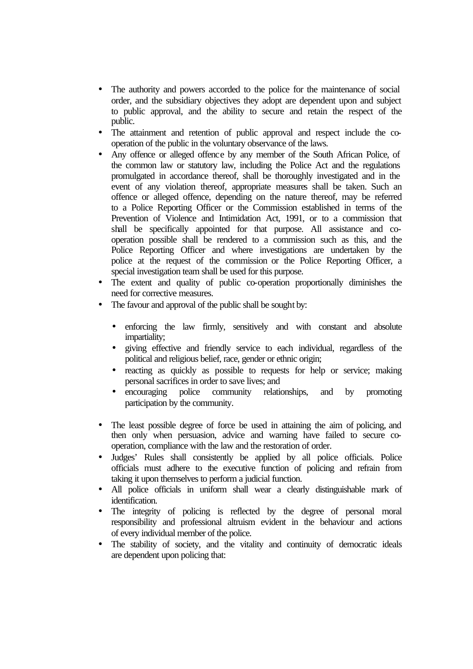- The authority and powers accorded to the police for the maintenance of social order, and the subsidiary objectives they adopt are dependent upon and subject to public approval, and the ability to secure and retain the respect of the public.
- The attainment and retention of public approval and respect include the cooperation of the public in the voluntary observance of the laws.
- Any offence or alleged offence by any member of the South African Police, of the common law or statutory law, including the Police Act and the regulations promulgated in accordance thereof, shall be thoroughly investigated and in the event of any violation thereof, appropriate measures shall be taken. Such an offence or alleged offence, depending on the nature thereof, may be referred to a Police Reporting Officer or the Commission established in terms of the Prevention of Violence and Intimidation Act, 1991, or to a commission that shall be specifically appointed for that purpose. All assistance and cooperation possible shall be rendered to a commission such as this, and the Police Reporting Officer and where investigations are undertaken by the police at the request of the commission or the Police Reporting Officer, a special investigation team shall be used for this purpose.
- The extent and quality of public co-operation proportionally diminishes the need for corrective measures.
- The favour and approval of the public shall be sought by:
	- enforcing the law firmly, sensitively and with constant and absolute impartiality;
	- giving effective and friendly service to each individual, regardless of the political and religious belief, race, gender or ethnic origin;
	- reacting as quickly as possible to requests for help or service; making personal sacrifices in order to save lives; and
	- encouraging police community relationships, and by promoting participation by the community.
- The least possible degree of force be used in attaining the aim of policing, and then only when persuasion, advice and warning have failed to secure cooperation, compliance with the law and the restoration of order.
- Judges' Rules shall consistently be applied by all police officials. Police officials must adhere to the executive function of policing and refrain from taking it upon themselves to perform a judicial function.
- All police officials in uniform shall wear a clearly distinguishable mark of identification.
- The integrity of policing is reflected by the degree of personal moral responsibility and professional altruism evident in the behaviour and actions of every individual member of the police.
- The stability of society, and the vitality and continuity of democratic ideals are dependent upon policing that: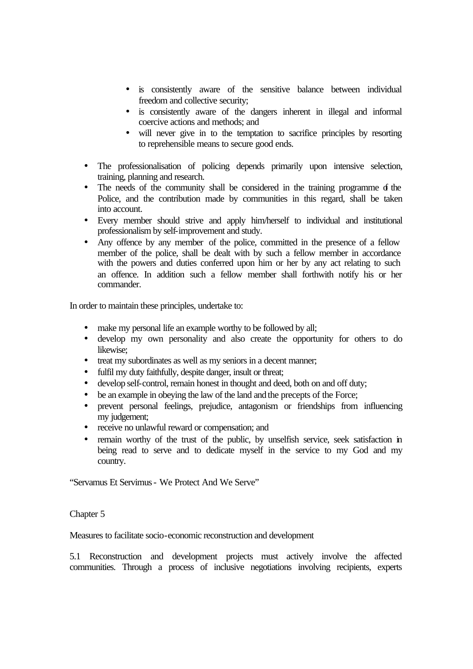- is consistently aware of the sensitive balance between individual freedom and collective security;
- is consistently aware of the dangers inherent in illegal and informal coercive actions and methods; and
- will never give in to the temptation to sacrifice principles by resorting to reprehensible means to secure good ends.
- The professionalisation of policing depends primarily upon intensive selection, training, planning and research.
- The needs of the community shall be considered in the training programme of the Police, and the contribution made by communities in this regard, shall be taken into account.
- Every member should strive and apply him/herself to individual and institutional professionalism by self-improvement and study.
- Any offence by any member of the police, committed in the presence of a fellow member of the police, shall be dealt with by such a fellow member in accordance with the powers and duties conferred upon him or her by any act relating to such an offence. In addition such a fellow member shall forthwith notify his or her commander.

In order to maintain these principles, undertake to:

- make my personal life an example worthy to be followed by all;
- develop my own personality and also create the opportunity for others to do likewise;
- treat my subordinates as well as my seniors in a decent manner;
- fulfil my duty faithfully, despite danger, insult or threat;
- develop self-control, remain honest in thought and deed, both on and off duty;
- be an example in obeying the law of the land and the precepts of the Force;
- prevent personal feelings, prejudice, antagonism or friendships from influencing my judgement;
- receive no unlawful reward or compensation; and
- remain worthy of the trust of the public, by unselfish service, seek satisfaction in being read to serve and to dedicate myself in the service to my God and my country.

"Servamus Et Servimus - We Protect And We Serve"

## Chapter 5

Measures to facilitate socio-economic reconstruction and development

5.1 Reconstruction and development projects must actively involve the affected communities. Through a process of inclusive negotiations involving recipients, experts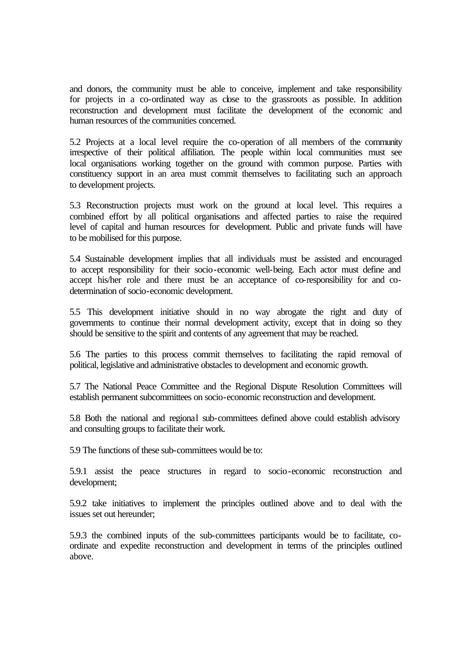and donors, the community must be able to conceive, implement and take responsibility for projects in a co-ordinated way as cbse to the grassroots as possible. In addition reconstruction and development must facilitate the development of the economic and human resources of the communities concerned.

5.2 Projects at a local level require the co-operation of all members of the community irrespective of their political affiliation. The people within local communities must see local organisations working together on the ground with common purpose. Parties with constituency support in an area must commit themselves to facilitating such an approach to development projects.

5.3 Reconstruction projects must work on the ground at local level. This requires a combined effort by all political organisations and affected parties to raise the required level of capital and human resources for development. Public and private funds will have to be mobilised for this purpose.

5.4 Sustainable development implies that all individuals must be assisted and encouraged to accept responsibility for their socio-economic well-being. Each actor must define and accept his/her role and there must be an acceptance of co-responsibility for and codetermination of socio-economic development.

5.5 This development initiative should in no way abrogate the right and duty of governments to continue their normal development activity, except that in doing so they should be sensitive to the spirit and contents of any agreement that may be reached.

5.6 The parties to this process commit themselves to facilitating the rapid removal of political, legislative and administrative obstacles to development and economic growth.

5.7 The National Peace Committee and the Regional Dispute Resolution Committees will establish permanent subcommittees on socio-economic reconstruction and development.

5.8 Both the national and regional sub-committees defined above could establish advisory and consulting groups to facilitate their work.

5.9 The functions of these sub-committees would be to:

5.9.1 assist the peace structures in regard to socio-economic reconstruction and development;

5.9.2 take initiatives to implement the principles outlined above and to deal with the issues set out hereunder;

5.9.3 the combined inputs of the sub-committees participants would be to facilitate, coordinate and expedite reconstruction and development in terms of the principles outlined above.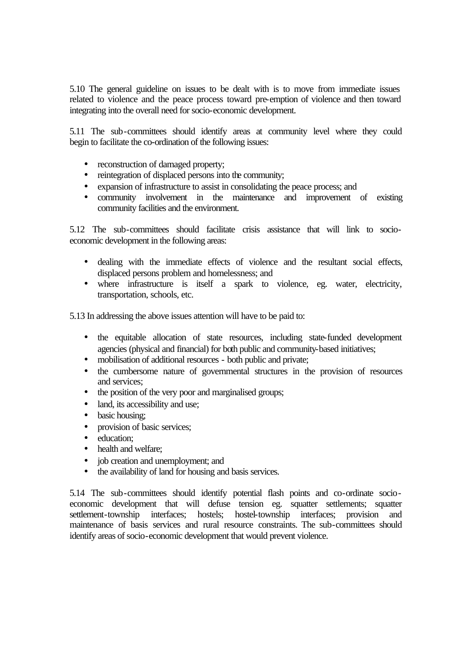5.10 The general guideline on issues to be dealt with is to move from immediate issues related to violence and the peace process toward pre-emption of violence and then toward integrating into the overall need for socio-economic development.

5.11 The sub-committees should identify areas at community level where they could begin to facilitate the co-ordination of the following issues:

- reconstruction of damaged property;
- reintegration of displaced persons into the community;
- expansion of infrastructure to assist in consolidating the peace process; and
- community involvement in the maintenance and improvement of existing community facilities and the environment.

5.12 The sub-committees should facilitate crisis assistance that will link to socioeconomic development in the following areas:

- dealing with the immediate effects of violence and the resultant social effects, displaced persons problem and homelessness; and
- where infrastructure is itself a spark to violence, eg. water, electricity, transportation, schools, etc.

5.13 In addressing the above issues attention will have to be paid to:

- the equitable allocation of state resources, including state-funded development agencies (physical and financial) for both public and community-based initiatives;
- mobilisation of additional resources both public and private;
- the cumbersome nature of governmental structures in the provision of resources and services;
- the position of the very poor and marginalised groups;
- land, its accessibility and use;
- basic housing:
- provision of basic services;
- education:
- health and welfare:
- job creation and unemployment; and
- the availability of land for housing and basis services.

5.14 The sub-committees should identify potential flash points and co-ordinate socioeconomic development that will defuse tension eg. squatter settlements; squatter settlement-township interfaces; hostels; hostel-township interfaces; provision and maintenance of basis services and rural resource constraints. The sub-committees should identify areas of socio-economic development that would prevent violence.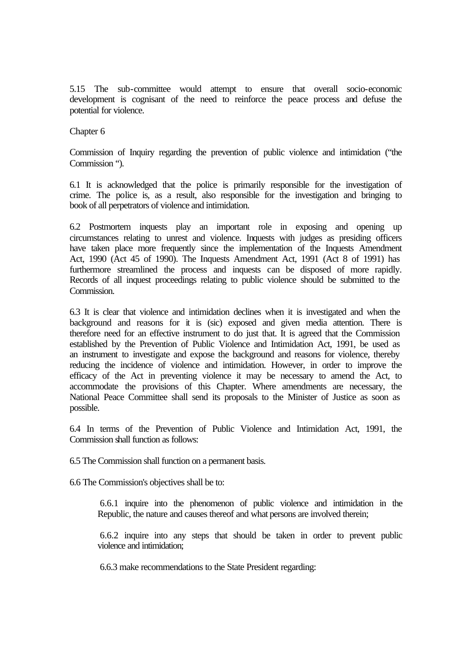5.15 The sub-committee would attempt to ensure that overall socio-economic development is cognisant of the need to reinforce the peace process and defuse the potential for violence.

Chapter 6

Commission of Inquiry regarding the prevention of public violence and intimidation ("the Commission ").

6.1 It is acknowledged that the police is primarily responsible for the investigation of crime. The police is, as a result, also responsible for the investigation and bringing to book of all perpetrators of violence and intimidation.

6.2 Postmortem inquests play an important role in exposing and opening up circumstances relating to unrest and violence. Inquests with judges as presiding officers have taken place more frequently since the implementation of the Inquests Amendment Act, 1990 (Act 45 of 1990). The Inquests Amendment Act, 1991 (Act 8 of 1991) has furthermore streamlined the process and inquests can be disposed of more rapidly. Records of all inquest proceedings relating to public violence should be submitted to the Commission.

6.3 It is clear that violence and intimidation declines when it is investigated and when the background and reasons for it is (sic) exposed and given media attention. There is therefore need for an effective instrument to do just that. It is agreed that the Commission established by the Prevention of Public Violence and Intimidation Act, 1991, be used as an instrument to investigate and expose the background and reasons for violence, thereby reducing the incidence of violence and intimidation. However, in order to improve the efficacy of the Act in preventing violence it may be necessary to amend the Act, to accommodate the provisions of this Chapter. Where amendments are necessary, the National Peace Committee shall send its proposals to the Minister of Justice as soon as possible.

6.4 In terms of the Prevention of Public Violence and Intimidation Act, 1991, the Commission shall function as follows:

6.5 The Commission shall function on a permanent basis.

6.6 The Commission's objectives shall be to:

 6.6.1 inquire into the phenomenon of public violence and intimidation in the Republic, the nature and causes thereof and what persons are involved therein;

 6.6.2 inquire into any steps that should be taken in order to prevent public violence and intimidation;

6.6.3 make recommendations to the State President regarding: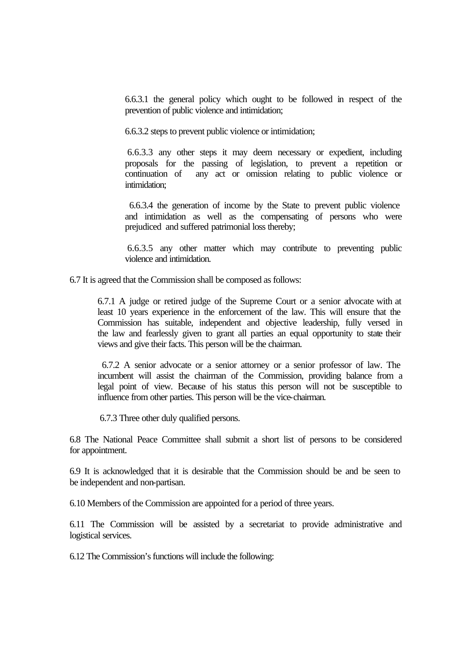6.6.3.1 the general policy which ought to be followed in respect of the prevention of public violence and intimidation;

6.6.3.2 steps to prevent public violence or intimidation;

 6.6.3.3 any other steps it may deem necessary or expedient, including proposals for the passing of legislation, to prevent a repetition or continuation of any act or omission relating to public violence or intimidation;

 6.6.3.4 the generation of income by the State to prevent public violence and intimidation as well as the compensating of persons who were prejudiced and suffered patrimonial loss thereby;

 6.6.3.5 any other matter which may contribute to preventing public violence and intimidation.

6.7 It is agreed that the Commission shall be composed as follows:

6.7.1 A judge or retired judge of the Supreme Court or a senior advocate with at least 10 years experience in the enforcement of the law. This will ensure that the Commission has suitable, independent and objective leadership, fully versed in the law and fearlessly given to grant all parties an equal opportunity to state their views and give their facts. This person will be the chairman.

 6.7.2 A senior advocate or a senior attorney or a senior professor of law. The incumbent will assist the chairman of the Commission, providing balance from a legal point of view. Because of his status this person will not be susceptible to influence from other parties. This person will be the vice-chairman.

6.7.3 Three other duly qualified persons.

6.8 The National Peace Committee shall submit a short list of persons to be considered for appointment.

6.9 It is acknowledged that it is desirable that the Commission should be and be seen to be independent and non-partisan.

6.10 Members of the Commission are appointed for a period of three years.

6.11 The Commission will be assisted by a secretariat to provide administrative and logistical services.

6.12 The Commission's functions will include the following: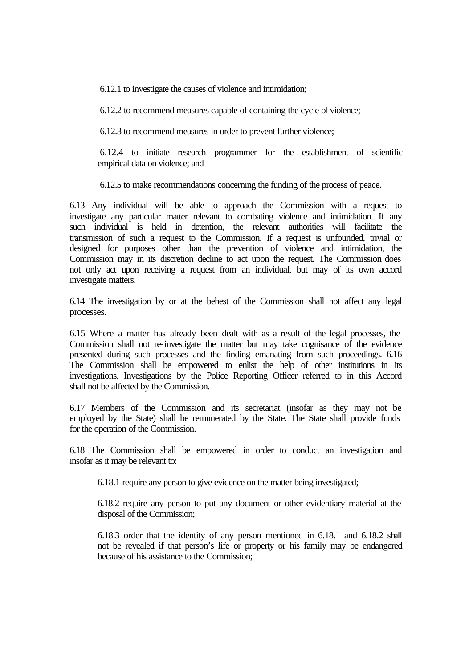6.12.1 to investigate the causes of violence and intimidation;

6.12.2 to recommend measures capable of containing the cycle of violence;

6.12.3 to recommend measures in order to prevent further violence;

 6.12.4 to initiate research programmer for the establishment of scientific empirical data on violence; and

6.12.5 to make recommendations concerning the funding of the process of peace.

6.13 Any individual will be able to approach the Commission with a request to investigate any particular matter relevant to combating violence and intimidation. If any such individual is held in detention, the relevant authorities will facilitate the transmission of such a request to the Commission. If a request is unfounded, trivial or designed for purposes other than the prevention of violence and intimidation, the Commission may in its discretion decline to act upon the request. The Commission does not only act upon receiving a request from an individual, but may of its own accord investigate matters.

6.14 The investigation by or at the behest of the Commission shall not affect any legal processes.

6.15 Where a matter has already been dealt with as a result of the legal processes, the Commission shall not re-investigate the matter but may take cognisance of the evidence presented during such processes and the finding emanating from such proceedings. 6.16 The Commission shall be empowered to enlist the help of other institutions in its investigations. Investigations by the Police Reporting Officer referred to in this Accord shall not be affected by the Commission.

6.17 Members of the Commission and its secretariat (insofar as they may not be employed by the State) shall be remunerated by the State. The State shall provide funds for the operation of the Commission.

6.18 The Commission shall be empowered in order to conduct an investigation and insofar as it may be relevant to:

6.18.1 require any person to give evidence on the matter being investigated;

6.18.2 require any person to put any document or other evidentiary material at the disposal of the Commission;

6.18.3 order that the identity of any person mentioned in 6.18.1 and 6.18.2 shall not be revealed if that person's life or property or his family may be endangered because of his assistance to the Commission;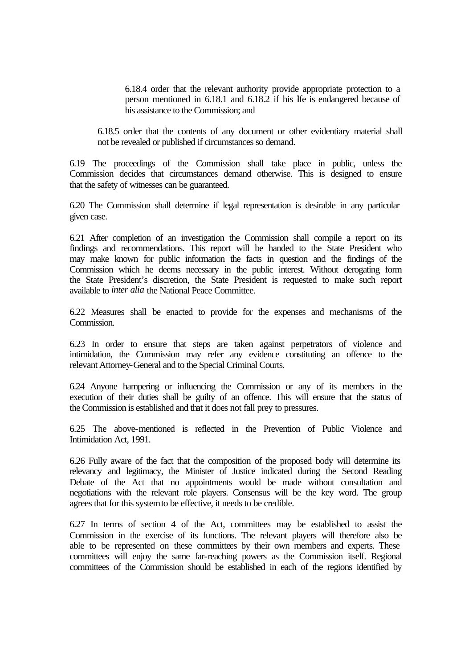6.18.4 order that the relevant authority provide appropriate protection to a person mentioned in 6.18.1 and 6.18.2 if his life is endangered because of his assistance to the Commission; and

6.18.5 order that the contents of any document or other evidentiary material shall not be revealed or published if circumstances so demand.

6.19 The proceedings of the Commission shall take place in public, unless the Commission decides that circumstances demand otherwise. This is designed to ensure that the safety of witnesses can be guaranteed.

6.20 The Commission shall determine if legal representation is desirable in any particular given case.

6.21 After completion of an investigation the Commission shall compile a report on its findings and recommendations. This report will be handed to the State President who may make known for public information the facts in question and the findings of the Commission which he deems necessary in the public interest. Without derogating form the State President's discretion, the State President is requested to make such report available to *inter alia* the National Peace Committee.

6.22 Measures shall be enacted to provide for the expenses and mechanisms of the Commission.

6.23 In order to ensure that steps are taken against perpetrators of violence and intimidation, the Commission may refer any evidence constituting an offence to the relevant Attorney-General and to the Special Criminal Courts.

6.24 Anyone hampering or influencing the Commission or any of its members in the execution of their duties shall be guilty of an offence. This will ensure that the status of the Commission is established and that it does not fall prey to pressures.

6.25 The above-mentioned is reflected in the Prevention of Public Violence and Intimidation Act, 1991.

6.26 Fully aware of the fact that the composition of the proposed body will determine its relevancy and legitimacy, the Minister of Justice indicated during the Second Reading Debate of the Act that no appointments would be made without consultation and negotiations with the relevant role players. Consensus will be the key word. The group agrees that for this system to be effective, it needs to be credible.

6.27 In terms of section 4 of the Act, committees may be established to assist the Commission in the exercise of its functions. The relevant players will therefore also be able to be represented on these committees by their own members and experts. These committees will enjoy the same far-reaching powers as the Commission itself. Regional committees of the Commission should be established in each of the regions identified by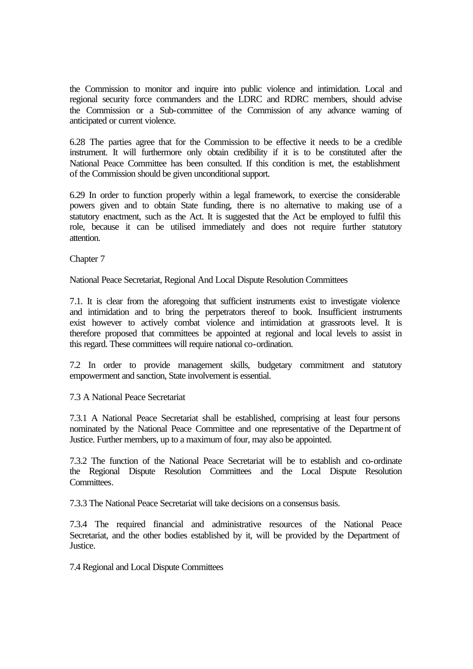the Commission to monitor and inquire into public violence and intimidation. Local and regional security force commanders and the LDRC and RDRC members, should advise the Commission or a Sub-committee of the Commission of any advance warning of anticipated or current violence.

6.28 The parties agree that for the Commission to be effective it needs to be a credible instrument. It will furthermore only obtain credibility if it is to be constituted after the National Peace Committee has been consulted. If this condition is met, the establishment of the Commission should be given unconditional support.

6.29 In order to function properly within a legal framework, to exercise the considerable powers given and to obtain State funding, there is no alternative to making use of a statutory enactment, such as the Act. It is suggested that the Act be employed to fulfil this role, because it can be utilised immediately and does not require further statutory attention.

Chapter 7

National Peace Secretariat, Regional And Local Dispute Resolution Committees

7.1. It is clear from the aforegoing that sufficient instruments exist to investigate violence and intimidation and to bring the perpetrators thereof to book. Insufficient instruments exist however to actively combat violence and intimidation at grassroots level. It is therefore proposed that committees be appointed at regional and local levels to assist in this regard. These committees will require national co-ordination.

7.2 In order to provide management skills, budgetary commitment and statutory empowerment and sanction, State involvement is essential.

7.3 A National Peace Secretariat

7.3.1 A National Peace Secretariat shall be established, comprising at least four persons nominated by the National Peace Committee and one representative of the Department of Justice. Further members, up to a maximum of four, may also be appointed.

7.3.2 The function of the National Peace Secretariat will be to establish and co-ordinate the Regional Dispute Resolution Committees and the Local Dispute Resolution Committees.

7.3.3 The National Peace Secretariat will take decisions on a consensus basis.

7.3.4 The required financial and administrative resources of the National Peace Secretariat, and the other bodies established by it, will be provided by the Department of Justice.

7.4 Regional and Local Dispute Committees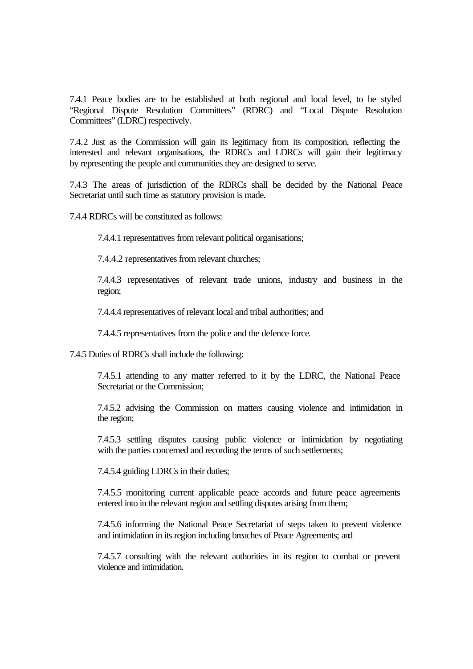7.4.1 Peace bodies are to be established at both regional and local level, to be styled "Regional Dispute Resolution Committees" (RDRC) and "Local Dispute Resolution Committees" (LDRC) respectively.

7.4.2 Just as the Commission will gain its legitimacy from its composition, reflecting the interested and relevant organisations, the RDRCs and LDRCs will gain their legitimacy by representing the people and communities they are designed to serve.

7.4.3 The areas of jurisdiction of the RDRCs shall be decided by the National Peace Secretariat until such time as statutory provision is made.

7.4.4 RDRCs will be constituted as follows:

7.4.4.1 representatives from relevant political organisations;

7.4.4.2 representatives from relevant churches;

7.4.4.3 representatives of relevant trade unions, industry and business in the region;

7.4.4.4 representatives of relevant local and tribal authorities; and

7.4.4.5 representatives from the police and the defence force.

7.4.5 Duties of RDRCs shall include the following:

7.4.5.1 attending to any matter referred to it by the LDRC, the National Peace Secretariat or the Commission;

7.4.5.2 advising the Commission on matters causing violence and intimidation in the region;

7.4.5.3 settling disputes causing public violence or intimidation by negotiating with the parties concerned and recording the terms of such settlements;

7.4.5.4 guiding LDRCs in their duties;

7.4.5.5 monitoring current applicable peace accords and future peace agreements entered into in the relevant region and settling disputes arising from them;

7.4.5.6 informing the National Peace Secretariat of steps taken to prevent violence and intimidation in its region including breaches of Peace Agreements; and

7.4.5.7 consulting with the relevant authorities in its region to combat or prevent violence and intimidation.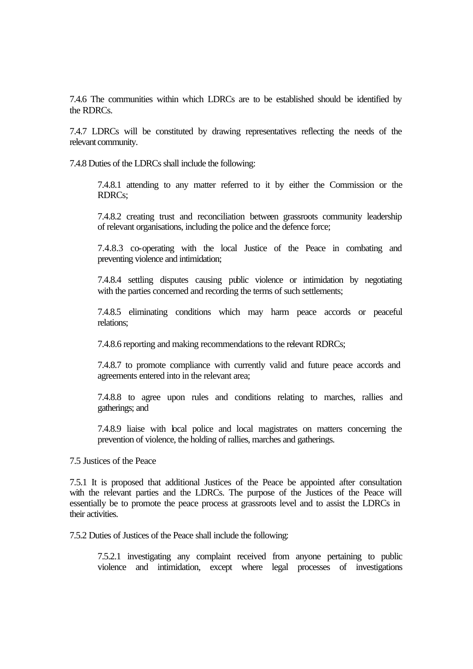7.4.6 The communities within which LDRCs are to be established should be identified by the RDRCs.

7.4.7 LDRCs will be constituted by drawing representatives reflecting the needs of the relevant community.

7.4.8 Duties of the LDRCs shall include the following:

7.4.8.1 attending to any matter referred to it by either the Commission or the RDRCs;

7.4.8.2 creating trust and reconciliation between grassroots community leadership of relevant organisations, including the police and the defence force;

7.4.8.3 co-operating with the local Justice of the Peace in combating and preventing violence and intimidation;

7.4.8.4 settling disputes causing public violence or intimidation by negotiating with the parties concerned and recording the terms of such settlements;

7.4.8.5 eliminating conditions which may harm peace accords or peaceful relations;

7.4.8.6 reporting and making recommendations to the relevant RDRCs;

7.4.8.7 to promote compliance with currently valid and future peace accords and agreements entered into in the relevant area;

7.4.8.8 to agree upon rules and conditions relating to marches, rallies and gatherings; and

7.4.8.9 liaise with local police and local magistrates on matters concerning the prevention of violence, the holding of rallies, marches and gatherings.

7.5 Justices of the Peace

7.5.1 It is proposed that additional Justices of the Peace be appointed after consultation with the relevant parties and the LDRCs. The purpose of the Justices of the Peace will essentially be to promote the peace process at grassroots level and to assist the LDRCs in their activities.

7.5.2 Duties of Justices of the Peace shall include the following:

7.5.2.1 investigating any complaint received from anyone pertaining to public violence and intimidation, except where legal processes of investigations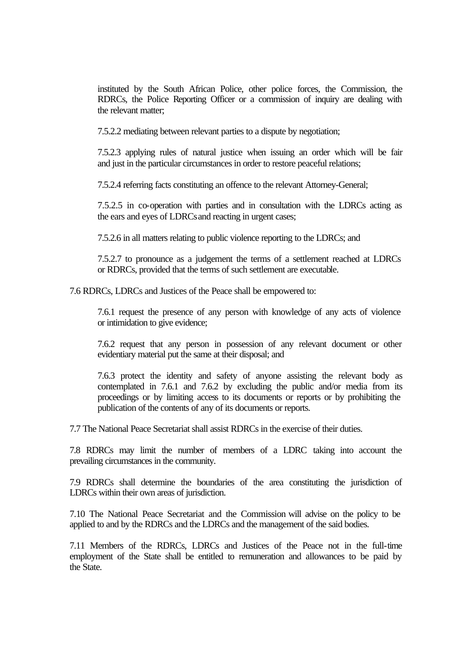instituted by the South African Police, other police forces, the Commission, the RDRCs, the Police Reporting Officer or a commission of inquiry are dealing with the relevant matter;

7.5.2.2 mediating between relevant parties to a dispute by negotiation;

7.5.2.3 applying rules of natural justice when issuing an order which will be fair and just in the particular circumstances in order to restore peaceful relations;

7.5.2.4 referring facts constituting an offence to the relevant Attorney-General;

7.5.2.5 in co-operation with parties and in consultation with the LDRCs acting as the ears and eyes of LDRCs and reacting in urgent cases;

7.5.2.6 in all matters relating to public violence reporting to the LDRCs; and

7.5.2.7 to pronounce as a judgement the terms of a settlement reached at LDRCs or RDRCs, provided that the terms of such settlement are executable.

7.6 RDRCs, LDRCs and Justices of the Peace shall be empowered to:

7.6.1 request the presence of any person with knowledge of any acts of violence or intimidation to give evidence;

7.6.2 request that any person in possession of any relevant document or other evidentiary material put the same at their disposal; and

7.6.3 protect the identity and safety of anyone assisting the relevant body as contemplated in 7.6.1 and 7.6.2 by excluding the public and/or media from its proceedings or by limiting access to its documents or reports or by prohibiting the publication of the contents of any of its documents or reports.

7.7 The National Peace Secretariat shall assist RDRCs in the exercise of their duties.

7.8 RDRCs may limit the number of members of a LDRC taking into account the prevailing circumstances in the community.

7.9 RDRCs shall determine the boundaries of the area constituting the jurisdiction of LDRCs within their own areas of jurisdiction.

7.10 The National Peace Secretariat and the Commission will advise on the policy to be applied to and by the RDRCs and the LDRCs and the management of the said bodies.

7.11 Members of the RDRCs, LDRCs and Justices of the Peace not in the full-time employment of the State shall be entitled to remuneration and allowances to be paid by the State.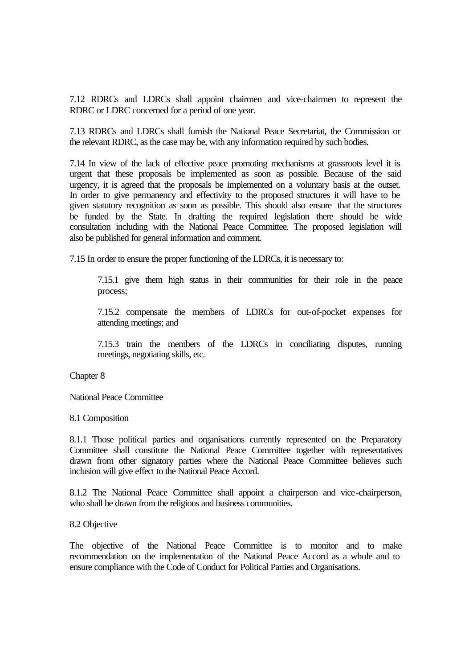7.12 RDRCs and LDRCs shall appoint chairmen and vice-chairmen to represent the RDRC or LDRC concerned for a period of one year.

7.13 RDRCs and LDRCs shall furnish the National Peace Secretariat, the Commission or the relevant RDRC, as the case may be, with any information required by such bodies.

7.14 In view of the lack of effective peace promoting mechanisms at grassroots level it is urgent that these proposals be implemented as soon as possible. Because of the said urgency, it is agreed that the proposals be implemented on a voluntary basis at the outset. In order to give permanency and effectivity to the proposed structures it will have to be given statutory recognition as soon as possible. This should also ensure that the structures be funded by the State. In drafting the required legislation there should be wide consultation including with the National Peace Committee. The proposed legislation will also be published for general information and comment.

7.15 In order to ensure the proper functioning of the LDRCs, it is necessary to:

7.15.1 give them high status in their communities for their role in the peace process;

7.15.2 compensate the members of LDRCs for out-of-pocket expenses for attending meetings; and

7.15.3 train the members of the LDRCs in conciliating disputes, running meetings, negotiating skills, etc.

Chapter 8

National Peace Committee

8.1 Composition

8.1.1 Those political parties and organisations currently represented on the Preparatory Committee shall constitute the National Peace Committee together with representatives drawn from other signatory parties where the National Peace Committee believes such inclusion will give effect to the National Peace Accord.

8.1.2 The National Peace Committee shall appoint a chairperson and vice-chairperson, who shall be drawn from the religious and business communities.

8.2 Objective

The objective of the National Peace Committee is to monitor and to make recommendation on the implementation of the National Peace Accord as a whole and to ensure compliance with the Code of Conduct for Political Parties and Organisations.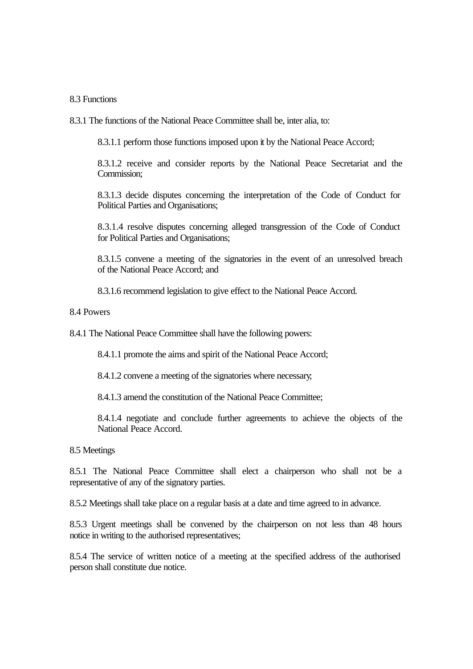## 8.3 Functions

8.3.1 The functions of the National Peace Committee shall be, inter alia, to:

8.3.1.1 perform those functions imposed upon it by the National Peace Accord;

8.3.1.2 receive and consider reports by the National Peace Secretariat and the Commission;

8.3.1.3 decide disputes concerning the interpretation of the Code of Conduct for Political Parties and Organisations;

8.3.1.4 resolve disputes concerning alleged transgression of the Code of Conduct for Political Parties and Organisations;

8.3.1.5 convene a meeting of the signatories in the event of an unresolved breach of the National Peace Accord; and

8.3.1.6 recommend legislation to give effect to the National Peace Accord.

#### 8.4 Powers

8.4.1 The National Peace Committee shall have the following powers:

8.4.1.1 promote the aims and spirit of the National Peace Accord;

8.4.1.2 convene a meeting of the signatories where necessary;

8.4.1.3 amend the constitution of the National Peace Committee;

8.4.1.4 negotiate and conclude further agreements to achieve the objects of the National Peace Accord.

## 8.5 Meetings

8.5.1 The National Peace Committee shall elect a chairperson who shall not be a representative of any of the signatory parties.

8.5.2 Meetings shall take place on a regular basis at a date and time agreed to in advance.

8.5.3 Urgent meetings shall be convened by the chairperson on not less than 48 hours notice in writing to the authorised representatives;

8.5.4 The service of written notice of a meeting at the specified address of the authorised person shall constitute due notice.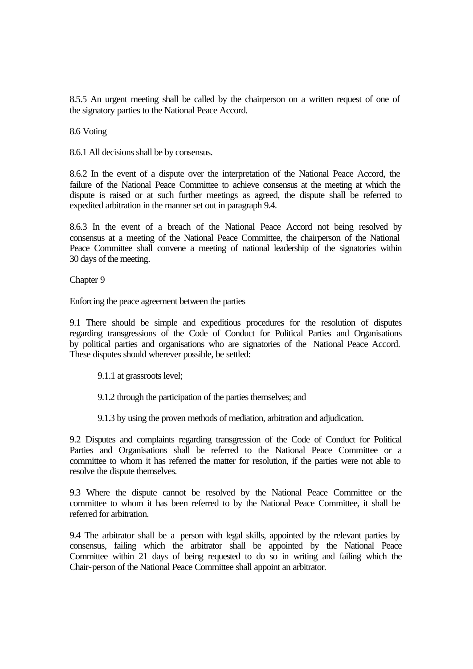8.5.5 An urgent meeting shall be called by the chairperson on a written request of one of the signatory parties to the National Peace Accord.

8.6 Voting

8.6.1 All decisions shall be by consensus.

8.6.2 In the event of a dispute over the interpretation of the National Peace Accord, the failure of the National Peace Committee to achieve consensus at the meeting at which the dispute is raised or at such further meetings as agreed, the dispute shall be referred to expedited arbitration in the manner set out in paragraph 9.4.

8.6.3 In the event of a breach of the National Peace Accord not being resolved by consensus at a meeting of the National Peace Committee, the chairperson of the National Peace Committee shall convene a meeting of national leadership of the signatories within 30 days of the meeting.

Chapter 9

Enforcing the peace agreement between the parties

9.1 There should be simple and expeditious procedures for the resolution of disputes regarding transgressions of the Code of Conduct for Political Parties and Organisations by political parties and organisations who are signatories of the National Peace Accord. These disputes should wherever possible, be settled:

9.1.1 at grassroots level;

9.1.2 through the participation of the parties themselves; and

9.1.3 by using the proven methods of mediation, arbitration and adjudication.

9.2 Disputes and complaints regarding transgression of the Code of Conduct for Political Parties and Organisations shall be referred to the National Peace Committee or a committee to whom it has referred the matter for resolution, if the parties were not able to resolve the dispute themselves.

9.3 Where the dispute cannot be resolved by the National Peace Committee or the committee to whom it has been referred to by the National Peace Committee, it shall be referred for arbitration.

9.4 The arbitrator shall be a person with legal skills, appointed by the relevant parties by consensus, failing which the arbitrator shall be appointed by the National Peace Committee within 21 days of being requested to do so in writing and failing which the Chair-person of the National Peace Committee shall appoint an arbitrator.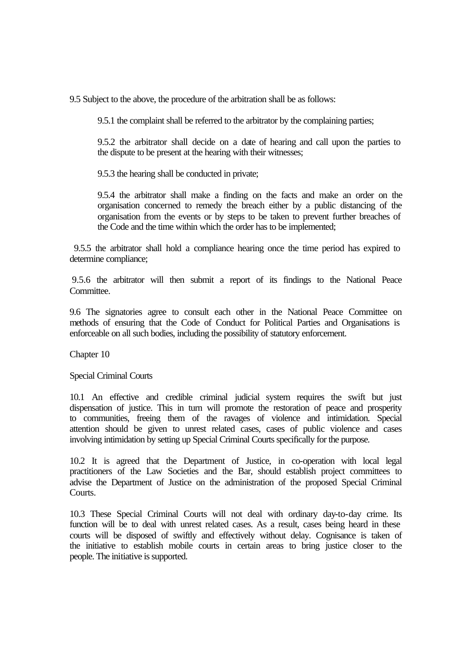9.5 Subject to the above, the procedure of the arbitration shall be as follows:

9.5.1 the complaint shall be referred to the arbitrator by the complaining parties;

9.5.2 the arbitrator shall decide on a date of hearing and call upon the parties to the dispute to be present at the hearing with their witnesses;

9.5.3 the hearing shall be conducted in private;

9.5.4 the arbitrator shall make a finding on the facts and make an order on the organisation concerned to remedy the breach either by a public distancing of the organisation from the events or by steps to be taken to prevent further breaches of the Code and the time within which the order has to be implemented;

 9.5.5 the arbitrator shall hold a compliance hearing once the time period has expired to determine compliance;

 9.5.6 the arbitrator will then submit a report of its findings to the National Peace Committee.

9.6 The signatories agree to consult each other in the National Peace Committee on methods of ensuring that the Code of Conduct for Political Parties and Organisations is enforceable on all such bodies, including the possibility of statutory enforcement.

Chapter 10

Special Criminal Courts

10.1 An effective and credible criminal judicial system requires the swift but just dispensation of justice. This in turn will promote the restoration of peace and prosperity to communities, freeing them of the ravages of violence and intimidation. Special attention should be given to unrest related cases, cases of public violence and cases involving intimidation by setting up Special Criminal Courts specifically for the purpose.

10.2 It is agreed that the Department of Justice, in co-operation with local legal practitioners of the Law Societies and the Bar, should establish project committees to advise the Department of Justice on the administration of the proposed Special Criminal Courts.

10.3 These Special Criminal Courts will not deal with ordinary day-to-day crime. Its function will be to deal with unrest related cases. As a result, cases being heard in these courts will be disposed of swiftly and effectively without delay. Cognisance is taken of the initiative to establish mobile courts in certain areas to bring justice closer to the people. The initiative is supported.